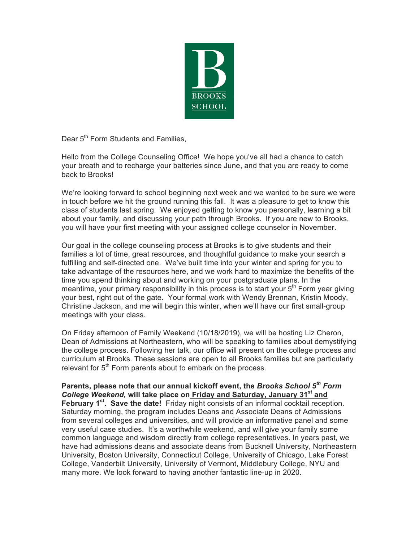

Dear 5<sup>th</sup> Form Students and Families.

Hello from the College Counseling Office! We hope you've all had a chance to catch your breath and to recharge your batteries since June, and that you are ready to come back to Brooks!

We're looking forward to school beginning next week and we wanted to be sure we were in touch before we hit the ground running this fall. It was a pleasure to get to know this class of students last spring. We enjoyed getting to know you personally, learning a bit about your family, and discussing your path through Brooks. If you are new to Brooks, you will have your first meeting with your assigned college counselor in November.

Our goal in the college counseling process at Brooks is to give students and their families a lot of time, great resources, and thoughtful guidance to make your search a fulfilling and self-directed one. We've built time into your winter and spring for you to take advantage of the resources here, and we work hard to maximize the benefits of the time you spend thinking about and working on your postgraduate plans. In the meantime, your primary responsibility in this process is to start your  $5<sup>th</sup>$  Form year giving your best, right out of the gate. Your formal work with Wendy Brennan, Kristin Moody, Christine Jackson, and me will begin this winter, when we'll have our first small-group meetings with your class.

On Friday afternoon of Family Weekend (10/18/2019), we will be hosting Liz Cheron, Dean of Admissions at Northeastern, who will be speaking to families about demystifying the college process. Following her talk, our office will present on the college process and curriculum at Brooks. These sessions are open to all Brooks families but are particularly relevant for  $5<sup>th</sup>$  Form parents about to embark on the process.

**Parents, please note that our annual kickoff event, the** *Brooks School 5th Form College Weekend,* **will take place on Friday and Saturday, January 31st and February 1st. Save the date!** Friday night consists of an informal cocktail reception. Saturday morning, the program includes Deans and Associate Deans of Admissions from several colleges and universities, and will provide an informative panel and some very useful case studies. It's a worthwhile weekend, and will give your family some common language and wisdom directly from college representatives. In years past, we have had admissions deans and associate deans from Bucknell University, Northeastern University, Boston University, Connecticut College, University of Chicago, Lake Forest College, Vanderbilt University, University of Vermont, Middlebury College, NYU and many more. We look forward to having another fantastic line-up in 2020.